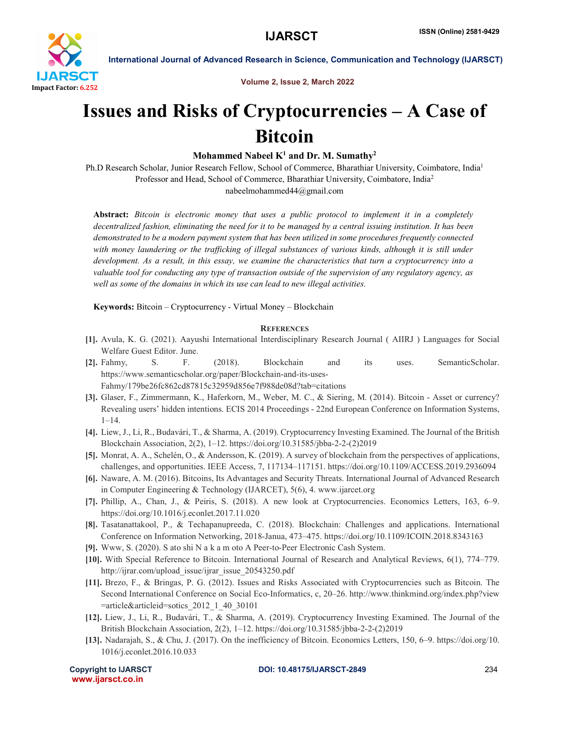

International Journal of Advanced Research in Science, Communication and Technology (IJARSCT)

Volume 2, Issue 2, March 2022

## Issues and Risks of Cryptocurrencies – A Case of Bitcoin

## Mohammed Nabeel  $K^1$  and Dr. M. Sumathy<sup>2</sup>

Ph.D Research Scholar, Junior Research Fellow, School of Commerce, Bharathiar University, Coimbatore, India1 Professor and Head, School of Commerce, Bharathiar University, Coimbatore, India2 nabeelmohammed44@gmail.com

Abstract: *Bitcoin is electronic money that uses a public protocol to implement it in a completely decentralized fashion, eliminating the need for it to be managed by a central issuing institution. It has been demonstrated to be a modern payment system that has been utilized in some procedures frequently connected with money laundering or the trafficking of illegal substances of various kinds, although it is still under development. As a result, in this essay, we examine the characteristics that turn a cryptocurrency into a valuable tool for conducting any type of transaction outside of the supervision of any regulatory agency, as well as some of the domains in which its use can lead to new illegal activities.*

Keywords: Bitcoin – Cryptocurrency - Virtual Money – Blockchain

## **REFERENCES**

- [1]. Avula, K. G. (2021). Aayushi International Interdisciplinary Research Journal ( AIIRJ ) Languages for Social Welfare Guest Editor. June.
- [2]. Fahmy, S. F. (2018). Blockchain and its uses. SemanticScholar. https://www.semanticscholar.org/paper/Blockchain-and-its-uses-Fahmy/179be26fc862cd87815c32959d856e7f988de08d?tab=citations
- [3]. Glaser, F., Zimmermann, K., Haferkorn, M., Weber, M. C., & Siering, M. (2014). Bitcoin Asset or currency? Revealing users' hidden intentions. ECIS 2014 Proceedings - 22nd European Conference on Information Systems, 1–14.
- [4]. Liew, J., Li, R., Budavári, T., & Sharma, A. (2019). Cryptocurrency Investing Examined. The Journal of the British Blockchain Association, 2(2), 1–12. https://doi.org/10.31585/jbba-2-2-(2)2019
- [5]. Monrat, A. A., Schelén, O., & Andersson, K. (2019). A survey of blockchain from the perspectives of applications, challenges, and opportunities. IEEE Access, 7, 117134–117151. https://doi.org/10.1109/ACCESS.2019.2936094
- [6]. Naware, A. M. (2016). Bitcoins, Its Advantages and Security Threats. International Journal of Advanced Research in Computer Engineering & Technology (IJARCET), 5(6), 4. www.ijarcet.org
- [7]. Phillip, A., Chan, J., & Peiris, S. (2018). A new look at Cryptocurrencies. Economics Letters, 163, 6–9. https://doi.org/10.1016/j.econlet.2017.11.020
- [8]. Tasatanattakool, P., & Techapanupreeda, C. (2018). Blockchain: Challenges and applications. International Conference on Information Networking, 2018-Janua, 473–475. https://doi.org/10.1109/ICOIN.2018.8343163
- [9]. Www, S. (2020). S ato shi N a k a m oto A Peer-to-Peer Electronic Cash System.
- [10]. With Special Reference to Bitcoin. International Journal of Research and Analytical Reviews, 6(1), 774–779. http://ijrar.com/upload\_issue/ijrar\_issue\_20543250.pdf
- [11]. Brezo, F., & Bringas, P. G. (2012). Issues and Risks Associated with Cryptocurrencies such as Bitcoin. The Second International Conference on Social Eco-Informatics, c, 20–26. http://www.thinkmind.org/index.php?view =article&articleid=sotics\_2012\_1\_40\_30101
- [12]. Liew, J., Li, R., Budavári, T., & Sharma, A. (2019). Cryptocurrency Investing Examined. The Journal of the British Blockchain Association, 2(2), 1–12. https://doi.org/10.31585/jbba-2-2-(2)2019
- [13]. Nadarajah, S., & Chu, J. (2017). On the inefficiency of Bitcoin. Economics Letters, 150, 6–9. https://doi.org/10. 1016/j.econlet.2016.10.033

www.ijarsct.co.in